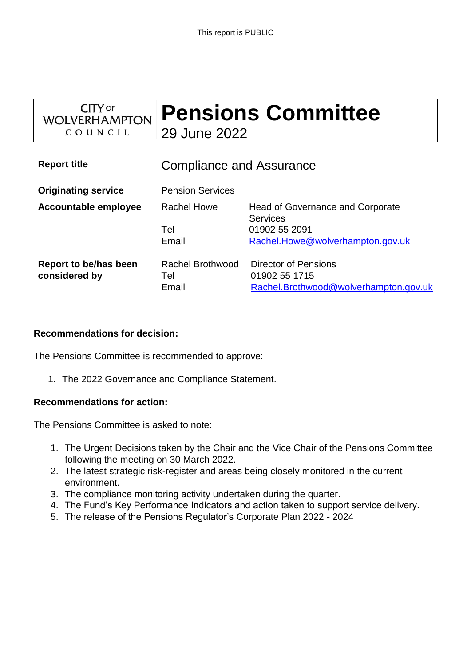| $CITY$ of<br><b>WOLVERHAMPTON</b>      | <b>Pensions Committee</b><br>29 June 2022 |                                                                                |
|----------------------------------------|-------------------------------------------|--------------------------------------------------------------------------------|
| COUNCIL                                |                                           |                                                                                |
| <b>Report title</b>                    | <b>Compliance and Assurance</b>           |                                                                                |
| <b>Originating service</b>             | <b>Pension Services</b>                   |                                                                                |
| <b>Accountable employee</b>            | Rachel Howe                               | <b>Head of Governance and Corporate</b><br><b>Services</b>                     |
|                                        | Tel                                       | 01902 55 2091                                                                  |
|                                        | Email                                     | Rachel.Howe@wolverhampton.gov.uk                                               |
| Report to be/has been<br>considered by | <b>Rachel Brothwood</b><br>Tel<br>Email   | Director of Pensions<br>01902 55 1715<br>Rachel.Brothwood@wolverhampton.gov.uk |

#### **Recommendations for decision:**

The Pensions Committee is recommended to approve:

1. The 2022 Governance and Compliance Statement.

#### **Recommendations for action:**

The Pensions Committee is asked to note:

- 1. The Urgent Decisions taken by the Chair and the Vice Chair of the Pensions Committee following the meeting on 30 March 2022.
- 2. The latest strategic risk-register and areas being closely monitored in the current environment.
- 3. The compliance monitoring activity undertaken during the quarter.
- 4. The Fund's Key Performance Indicators and action taken to support service delivery.
- 5. The release of the Pensions Regulator's Corporate Plan 2022 2024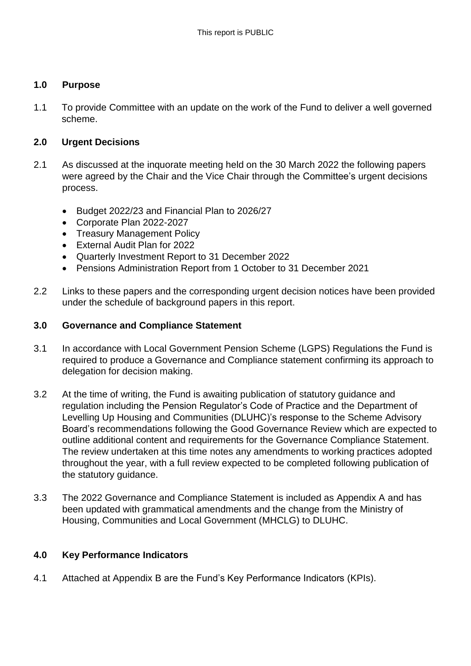### **1.0 Purpose**

1.1 To provide Committee with an update on the work of the Fund to deliver a well governed scheme.

## **2.0 Urgent Decisions**

- 2.1 As discussed at the inquorate meeting held on the 30 March 2022 the following papers were agreed by the Chair and the Vice Chair through the Committee's urgent decisions process.
	- Budget 2022/23 and Financial Plan to 2026/27
	- Corporate Plan 2022-2027
	- Treasury Management Policy
	- External Audit Plan for 2022
	- Quarterly Investment Report to 31 December 2022
	- Pensions Administration Report from 1 October to 31 December 2021
- 2.2 Links to these papers and the corresponding urgent decision notices have been provided under the schedule of background papers in this report.

#### **3.0 Governance and Compliance Statement**

- 3.1 In accordance with Local Government Pension Scheme (LGPS) Regulations the Fund is required to produce a Governance and Compliance statement confirming its approach to delegation for decision making.
- 3.2 At the time of writing, the Fund is awaiting publication of statutory guidance and regulation including the Pension Regulator's Code of Practice and the Department of Levelling Up Housing and Communities (DLUHC)'s response to the Scheme Advisory Board's recommendations following the Good Governance Review which are expected to outline additional content and requirements for the Governance Compliance Statement. The review undertaken at this time notes any amendments to working practices adopted throughout the year, with a full review expected to be completed following publication of the statutory guidance.
- 3.3 The 2022 Governance and Compliance Statement is included as Appendix A and has been updated with grammatical amendments and the change from the Ministry of Housing, Communities and Local Government (MHCLG) to DLUHC.

# **4.0 Key Performance Indicators**

4.1 Attached at Appendix B are the Fund's Key Performance Indicators (KPIs).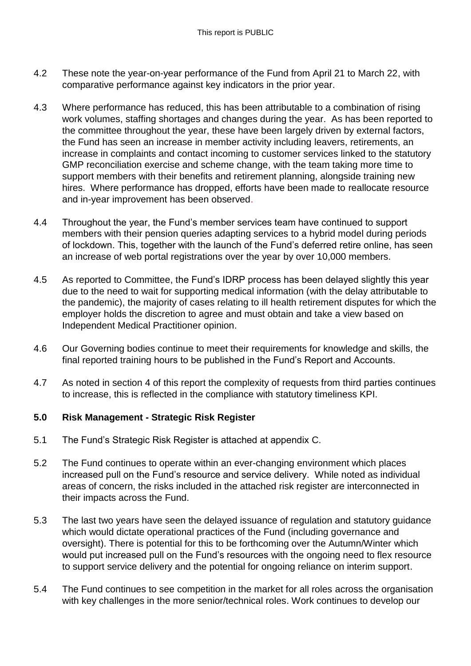- 4.2 These note the year-on-year performance of the Fund from April 21 to March 22, with comparative performance against key indicators in the prior year.
- 4.3 Where performance has reduced, this has been attributable to a combination of rising work volumes, staffing shortages and changes during the year. As has been reported to the committee throughout the year, these have been largely driven by external factors, the Fund has seen an increase in member activity including leavers, retirements, an increase in complaints and contact incoming to customer services linked to the statutory GMP reconciliation exercise and scheme change, with the team taking more time to support members with their benefits and retirement planning, alongside training new hires. Where performance has dropped, efforts have been made to reallocate resource and in-year improvement has been observed.
- 4.4 Throughout the year, the Fund's member services team have continued to support members with their pension queries adapting services to a hybrid model during periods of lockdown. This, together with the launch of the Fund's deferred retire online, has seen an increase of web portal registrations over the year by over 10,000 members.
- 4.5 As reported to Committee, the Fund's IDRP process has been delayed slightly this year due to the need to wait for supporting medical information (with the delay attributable to the pandemic), the majority of cases relating to ill health retirement disputes for which the employer holds the discretion to agree and must obtain and take a view based on Independent Medical Practitioner opinion.
- 4.6 Our Governing bodies continue to meet their requirements for knowledge and skills, the final reported training hours to be published in the Fund's Report and Accounts.
- 4.7 As noted in section 4 of this report the complexity of requests from third parties continues to increase, this is reflected in the compliance with statutory timeliness KPI.

# **5.0 Risk Management - Strategic Risk Register**

- 5.1 The Fund's Strategic Risk Register is attached at appendix C.
- 5.2 The Fund continues to operate within an ever-changing environment which places increased pull on the Fund's resource and service delivery. While noted as individual areas of concern, the risks included in the attached risk register are interconnected in their impacts across the Fund.
- 5.3 The last two years have seen the delayed issuance of regulation and statutory guidance which would dictate operational practices of the Fund (including governance and oversight). There is potential for this to be forthcoming over the Autumn/Winter which would put increased pull on the Fund's resources with the ongoing need to flex resource to support service delivery and the potential for ongoing reliance on interim support.
- 5.4 The Fund continues to see competition in the market for all roles across the organisation with key challenges in the more senior/technical roles. Work continues to develop our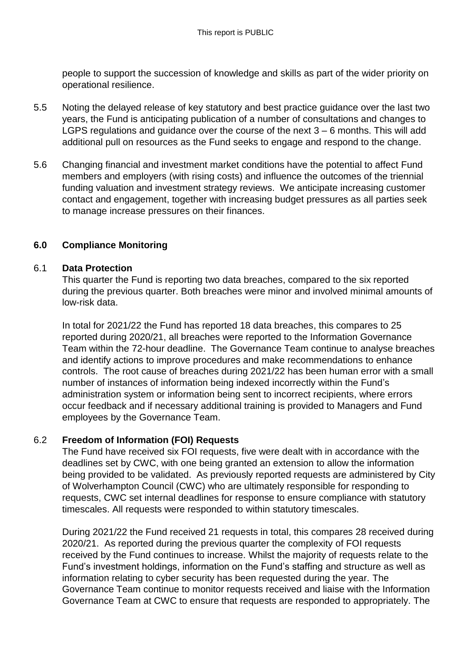people to support the succession of knowledge and skills as part of the wider priority on operational resilience.

- 5.5 Noting the delayed release of key statutory and best practice guidance over the last two years, the Fund is anticipating publication of a number of consultations and changes to LGPS regulations and guidance over the course of the next 3 – 6 months. This will add additional pull on resources as the Fund seeks to engage and respond to the change.
- 5.6 Changing financial and investment market conditions have the potential to affect Fund members and employers (with rising costs) and influence the outcomes of the triennial funding valuation and investment strategy reviews. We anticipate increasing customer contact and engagement, together with increasing budget pressures as all parties seek to manage increase pressures on their finances.

# **6.0 Compliance Monitoring**

#### 6.1 **Data Protection**

This quarter the Fund is reporting two data breaches, compared to the six reported during the previous quarter. Both breaches were minor and involved minimal amounts of low-risk data.

In total for 2021/22 the Fund has reported 18 data breaches, this compares to 25 reported during 2020/21, all breaches were reported to the Information Governance Team within the 72-hour deadline. The Governance Team continue to analyse breaches and identify actions to improve procedures and make recommendations to enhance controls. The root cause of breaches during 2021/22 has been human error with a small number of instances of information being indexed incorrectly within the Fund's administration system or information being sent to incorrect recipients, where errors occur feedback and if necessary additional training is provided to Managers and Fund employees by the Governance Team.

#### 6.2 **Freedom of Information (FOI) Requests**

The Fund have received six FOI requests, five were dealt with in accordance with the deadlines set by CWC, with one being granted an extension to allow the information being provided to be validated. As previously reported requests are administered by City of Wolverhampton Council (CWC) who are ultimately responsible for responding to requests, CWC set internal deadlines for response to ensure compliance with statutory timescales. All requests were responded to within statutory timescales.

During 2021/22 the Fund received 21 requests in total, this compares 28 received during 2020/21. As reported during the previous quarter the complexity of FOI requests received by the Fund continues to increase. Whilst the majority of requests relate to the Fund's investment holdings, information on the Fund's staffing and structure as well as information relating to cyber security has been requested during the year. The Governance Team continue to monitor requests received and liaise with the Information Governance Team at CWC to ensure that requests are responded to appropriately. The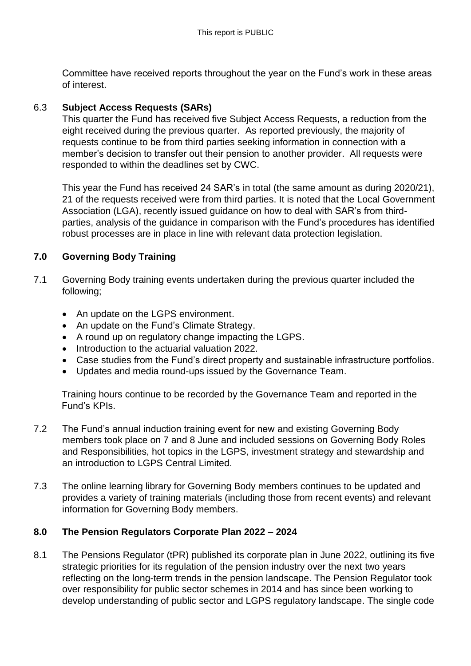Committee have received reports throughout the year on the Fund's work in these areas of interest.

# 6.3 **Subject Access Requests (SARs)**

This quarter the Fund has received five Subject Access Requests, a reduction from the eight received during the previous quarter. As reported previously, the majority of requests continue to be from third parties seeking information in connection with a member's decision to transfer out their pension to another provider. All requests were responded to within the deadlines set by CWC.

This year the Fund has received 24 SAR's in total (the same amount as during 2020/21), 21 of the requests received were from third parties. It is noted that the Local Government Association (LGA), recently issued guidance on how to deal with SAR's from thirdparties, analysis of the guidance in comparison with the Fund's procedures has identified robust processes are in place in line with relevant data protection legislation.

# **7.0 Governing Body Training**

- 7.1 Governing Body training events undertaken during the previous quarter included the following;
	- An update on the LGPS environment.
	- An update on the Fund's Climate Strategy.
	- A round up on regulatory change impacting the LGPS.
	- Introduction to the actuarial valuation 2022.
	- Case studies from the Fund's direct property and sustainable infrastructure portfolios.
	- Updates and media round-ups issued by the Governance Team.

Training hours continue to be recorded by the Governance Team and reported in the Fund's KPIs.

- 7.2 The Fund's annual induction training event for new and existing Governing Body members took place on 7 and 8 June and included sessions on Governing Body Roles and Responsibilities, hot topics in the LGPS, investment strategy and stewardship and an introduction to LGPS Central Limited.
- 7.3 The online learning library for Governing Body members continues to be updated and provides a variety of training materials (including those from recent events) and relevant information for Governing Body members.

# **8.0 The Pension Regulators Corporate Plan 2022 – 2024**

8.1 The Pensions Regulator (tPR) published its corporate plan in June 2022, outlining its five strategic priorities for its regulation of the pension industry over the next two years reflecting on the long-term trends in the pension landscape. The Pension Regulator took over responsibility for public sector schemes in 2014 and has since been working to develop understanding of public sector and LGPS regulatory landscape. The single code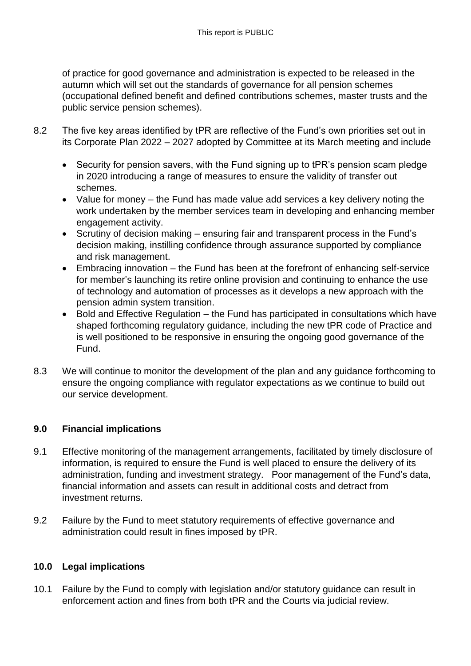of practice for good governance and administration is expected to be released in the autumn which will set out the standards of governance for all pension schemes (occupational defined benefit and defined contributions schemes, master trusts and the public service pension schemes).

- 8.2 The five key areas identified by tPR are reflective of the Fund's own priorities set out in its Corporate Plan 2022 – 2027 adopted by Committee at its March meeting and include
	- Security for pension savers, with the Fund signing up to tPR's pension scam pledge in 2020 introducing a range of measures to ensure the validity of transfer out schemes.
	- Value for money the Fund has made value add services a key delivery noting the work undertaken by the member services team in developing and enhancing member engagement activity.
	- Scrutiny of decision making ensuring fair and transparent process in the Fund's decision making, instilling confidence through assurance supported by compliance and risk management.
	- Embracing innovation the Fund has been at the forefront of enhancing self-service for member's launching its retire online provision and continuing to enhance the use of technology and automation of processes as it develops a new approach with the pension admin system transition.
	- Bold and Effective Regulation the Fund has participated in consultations which have shaped forthcoming regulatory guidance, including the new tPR code of Practice and is well positioned to be responsive in ensuring the ongoing good governance of the Fund.
- 8.3 We will continue to monitor the development of the plan and any guidance forthcoming to ensure the ongoing compliance with regulator expectations as we continue to build out our service development.

# **9.0 Financial implications**

- 9.1 Effective monitoring of the management arrangements, facilitated by timely disclosure of information, is required to ensure the Fund is well placed to ensure the delivery of its administration, funding and investment strategy. Poor management of the Fund's data, financial information and assets can result in additional costs and detract from investment returns.
- 9.2 Failure by the Fund to meet statutory requirements of effective governance and administration could result in fines imposed by tPR.

# **10.0 Legal implications**

10.1 Failure by the Fund to comply with legislation and/or statutory guidance can result in enforcement action and fines from both tPR and the Courts via judicial review.